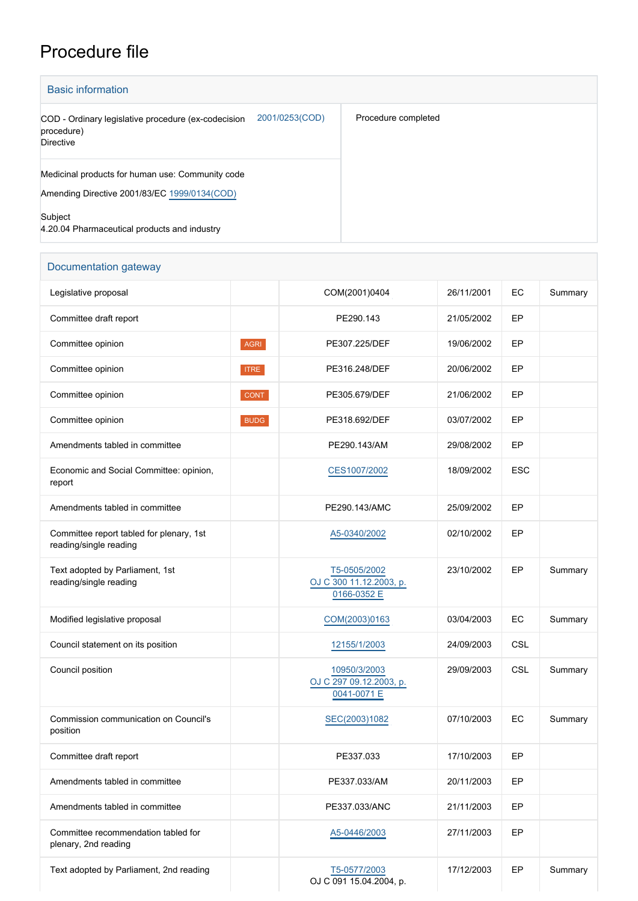## Procedure file

| <b>Basic information</b>                                                                                |                     |  |  |  |  |  |  |
|---------------------------------------------------------------------------------------------------------|---------------------|--|--|--|--|--|--|
| 2001/0253(COD)<br>COD - Ordinary legislative procedure (ex-codecision<br>procedure)<br><b>Directive</b> | Procedure completed |  |  |  |  |  |  |
| Medicinal products for human use: Community code<br>Amending Directive 2001/83/EC 1999/0134(COD)        |                     |  |  |  |  |  |  |
| Subject<br>4.20.04 Pharmaceutical products and industry                                                 |                     |  |  |  |  |  |  |

| Documentation gateway                                              |             |                                                        |            |            |         |  |
|--------------------------------------------------------------------|-------------|--------------------------------------------------------|------------|------------|---------|--|
| Legislative proposal                                               |             | COM(2001)0404                                          | 26/11/2001 | EC         | Summary |  |
| Committee draft report                                             |             | PE290.143                                              | 21/05/2002 | EP         |         |  |
| Committee opinion                                                  | <b>AGRI</b> | PE307.225/DEF                                          | 19/06/2002 | EP         |         |  |
| Committee opinion                                                  | <b>ITRE</b> | PE316.248/DEF                                          | 20/06/2002 | EP         |         |  |
| Committee opinion                                                  | <b>CONT</b> | PE305.679/DEF                                          | 21/06/2002 | EP         |         |  |
| Committee opinion                                                  | <b>BUDG</b> | PE318.692/DEF                                          | 03/07/2002 | EP         |         |  |
| Amendments tabled in committee                                     |             | PE290.143/AM                                           | 29/08/2002 | EP         |         |  |
| Economic and Social Committee: opinion,<br>report                  |             | CES1007/2002                                           | 18/09/2002 | <b>ESC</b> |         |  |
| Amendments tabled in committee                                     |             | PE290.143/AMC                                          | 25/09/2002 | EP         |         |  |
| Committee report tabled for plenary, 1st<br>reading/single reading |             | A5-0340/2002                                           | 02/10/2002 | EP         |         |  |
| Text adopted by Parliament, 1st<br>reading/single reading          |             | T5-0505/2002<br>OJ C 300 11.12.2003, p.<br>0166-0352 E | 23/10/2002 | EP         | Summary |  |
| Modified legislative proposal                                      |             | COM(2003)0163                                          | 03/04/2003 | EC         | Summary |  |
| Council statement on its position                                  |             | 12155/1/2003                                           | 24/09/2003 | CSL        |         |  |
| Council position                                                   |             | 10950/3/2003<br>OJ C 297 09.12.2003, p.<br>0041-0071 E | 29/09/2003 | CSL        | Summary |  |
| Commission communication on Council's<br>position                  |             | SEC(2003)1082                                          | 07/10/2003 | EC         | Summary |  |
| Committee draft report                                             |             | PE337.033                                              | 17/10/2003 | EP         |         |  |
| Amendments tabled in committee                                     |             | PE337.033/AM                                           | 20/11/2003 | EP         |         |  |
| Amendments tabled in committee                                     |             | PE337.033/ANC                                          | 21/11/2003 | EP         |         |  |
| Committee recommendation tabled for<br>plenary, 2nd reading        |             | A5-0446/2003                                           | 27/11/2003 | EP         |         |  |
| Text adopted by Parliament, 2nd reading                            |             | T5-0577/2003<br>OJ C 091 15.04.2004, p.                | 17/12/2003 | EP         | Summary |  |